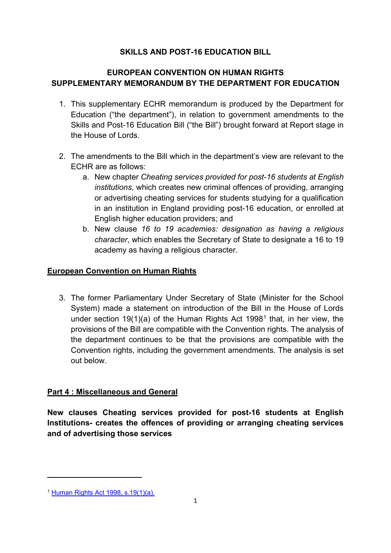## **SKILLS AND POST-16 EDUCATION BILL**

# **EUROPEAN CONVENTION ON HUMAN RIGHTS SUPPLEMENTARY MEMORANDUM BY THE DEPARTMENT FOR EDUCATION**

- 1. This supplementary ECHR memorandum is produced by the Department for Education ("the department"), in relation to government amendments to the Skills and Post-16 Education Bill ("the Bill") brought forward at Report stage in the House of Lords.
- 2. The amendments to the Bill which in the department's view are relevant to the ECHR are as follows:
	- a. New chapter *Cheating services provided for post-16 students at English institutions*, which creates new criminal offences of providing, arranging or advertising cheating services for students studying for a qualification in an institution in England providing post-16 education, or enrolled at English higher education providers; and
	- b. New clause *16 to 19 academies: designation as having a religious character*, which enables the Secretary of State to designate a 16 to 19 academy as having a religious character.

## **European Convention on Human Rights**

3. The former Parliamentary Under Secretary of State (Minister for the School System) made a statement on introduction of the Bill in the House of Lords under section [1](#page-0-0)9(1)(a) of the Human Rights Act 1998<sup>1</sup> that, in her view, the provisions of the Bill are compatible with the Convention rights. The analysis of the department continues to be that the provisions are compatible with the Convention rights, including the government amendments. The analysis is set out below.

# **Part 4 : Miscellaneous and General**

**New clauses Cheating services provided for post-16 students at English Institutions- creates the offences of providing or arranging cheating services and of advertising those services**

<span id="page-0-0"></span><sup>1</sup> [Human Rights Act 1998, s.19\(1\)\(a\).](https://www.legislation.gov.uk/ukpga/1998/42/section/19)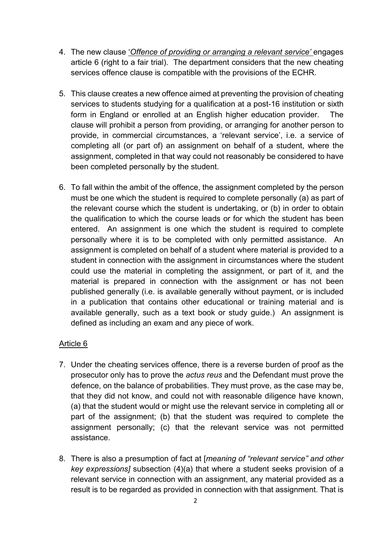- 4. The new clause '*Offence of providing or arranging a relevant service'* engages article 6 (right to a fair trial). The department considers that the new cheating services offence clause is compatible with the provisions of the ECHR.
- 5. This clause creates a new offence aimed at preventing the provision of cheating services to students studying for a qualification at a post-16 institution or sixth form in England or enrolled at an English higher education provider. The clause will prohibit a person from providing, or arranging for another person to provide, in commercial circumstances, a 'relevant service', i.e. a service of completing all (or part of) an assignment on behalf of a student, where the assignment, completed in that way could not reasonably be considered to have been completed personally by the student.
- 6. To fall within the ambit of the offence, the assignment completed by the person must be one which the student is required to complete personally (a) as part of the relevant course which the student is undertaking, or (b) in order to obtain the qualification to which the course leads or for which the student has been entered. An assignment is one which the student is required to complete personally where it is to be completed with only permitted assistance. An assignment is completed on behalf of a student where material is provided to a student in connection with the assignment in circumstances where the student could use the material in completing the assignment, or part of it, and the material is prepared in connection with the assignment or has not been published generally (i.e. is available generally without payment, or is included in a publication that contains other educational or training material and is available generally, such as a text book or study guide.) An assignment is defined as including an exam and any piece of work.

## Article 6

- 7. Under the cheating services offence, there is a reverse burden of proof as the prosecutor only has to prove the *actus reus* and the Defendant must prove the defence, on the balance of probabilities. They must prove, as the case may be, that they did not know, and could not with reasonable diligence have known, (a) that the student would or might use the relevant service in completing all or part of the assignment; (b) that the student was required to complete the assignment personally; (c) that the relevant service was not permitted assistance.
- 8. There is also a presumption of fact at [*meaning of "relevant service" and other key expressions]* subsection (4)(a) that where a student seeks provision of a relevant service in connection with an assignment, any material provided as a result is to be regarded as provided in connection with that assignment. That is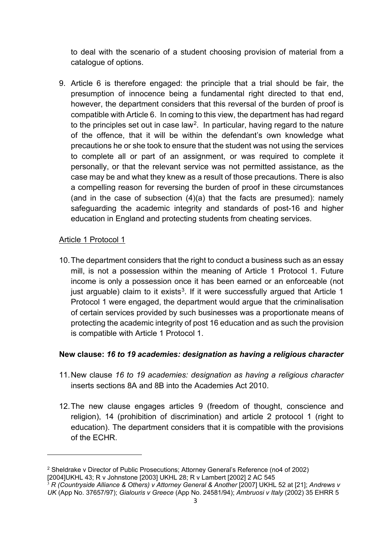to deal with the scenario of a student choosing provision of material from a catalogue of options.

9. Article 6 is therefore engaged: the principle that a trial should be fair, the presumption of innocence being a fundamental right directed to that end, however, the department considers that this reversal of the burden of proof is compatible with Article 6. In coming to this view, the department has had regard to the principles set out in case law<sup>[2](#page-2-0)</sup>. In particular, having regard to the nature of the offence, that it will be within the defendant's own knowledge what precautions he or she took to ensure that the student was not using the services to complete all or part of an assignment, or was required to complete it personally, or that the relevant service was not permitted assistance, as the case may be and what they knew as a result of those precautions. There is also a compelling reason for reversing the burden of proof in these circumstances (and in the case of subsection (4)(a) that the facts are presumed): namely safeguarding the academic integrity and standards of post-16 and higher education in England and protecting students from cheating services.

#### Article 1 Protocol 1

10.The department considers that the right to conduct a business such as an essay mill, is not a possession within the meaning of Article 1 Protocol 1. Future income is only a possession once it has been earned or an enforceable (not just arguable) claim to it exists<sup>3</sup>. If it were successfully argued that Article 1 Protocol 1 were engaged, the department would argue that the criminalisation of certain services provided by such businesses was a proportionate means of protecting the academic integrity of post 16 education and as such the provision is compatible with Article 1 Protocol 1.

#### **New clause:** *16 to 19 academies: designation as having a religious character*

- 11.New clause *16 to 19 academies: designation as having a religious character* inserts sections 8A and 8B into the Academies Act 2010.
- 12.The new clause engages articles 9 (freedom of thought, conscience and religion), 14 (prohibition of discrimination) and article 2 protocol 1 (right to education). The department considers that it is compatible with the provisions of the ECHR.

<span id="page-2-1"></span><sup>3</sup> *R (Countryside Alliance & Others) v Attorney General & Another* [2007] UKHL 52 at [21]; *Andrews v UK* (App No. 37657/97); *Gialouris v Greece* (App No. 24581/94); *Ambruosi v Italy* (2002) 35 EHRR 5

<span id="page-2-0"></span><sup>2</sup> Sheldrake v Director of Public Prosecutions; Attorney General's Reference (no4 of 2002) [2004]UKHL 43; R v Johnstone [2003] UKHL 28; R v Lambert [2002] 2 AC 545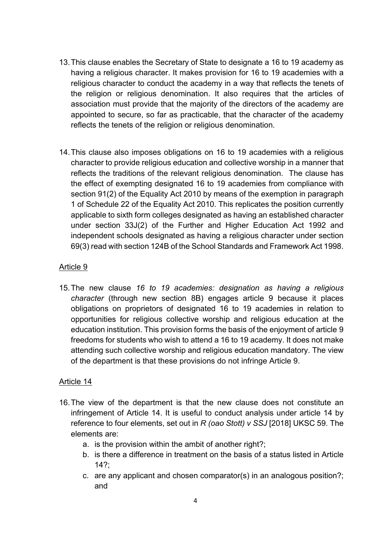- 13.This clause enables the Secretary of State to designate a 16 to 19 academy as having a religious character. It makes provision for 16 to 19 academies with a religious character to conduct the academy in a way that reflects the tenets of the religion or religious denomination. It also requires that the articles of association must provide that the majority of the directors of the academy are appointed to secure, so far as practicable, that the character of the academy reflects the tenets of the religion or religious denomination.
- 14.This clause also imposes obligations on 16 to 19 academies with a religious character to provide religious education and collective worship in a manner that reflects the traditions of the relevant religious denomination. The clause has the effect of exempting designated 16 to 19 academies from compliance with section 91(2) of the Equality Act 2010 by means of the exemption in paragraph 1 of Schedule 22 of the Equality Act 2010. This replicates the position currently applicable to sixth form colleges designated as having an established character under section 33J(2) of the Further and Higher Education Act 1992 and independent schools designated as having a religious character under section 69(3) read with section 124B of the School Standards and Framework Act 1998.

### Article 9

15.The new clause *16 to 19 academies: designation as having a religious character* (through new section 8B) engages article 9 because it places obligations on proprietors of designated 16 to 19 academies in relation to opportunities for religious collective worship and religious education at the education institution. This provision forms the basis of the enjoyment of article 9 freedoms for students who wish to attend a 16 to 19 academy. It does not make attending such collective worship and religious education mandatory. The view of the department is that these provisions do not infringe Article 9.

#### Article 14

- 16.The view of the department is that the new clause does not constitute an infringement of Article 14. It is useful to conduct analysis under article 14 by reference to four elements, set out in *R (oao Stott) v SSJ* [2018] UKSC 59. The elements are:
	- a. is the provision within the ambit of another right?;
	- b. is there a difference in treatment on the basis of a status listed in Article  $142$
	- c. are any applicant and chosen comparator(s) in an analogous position?; and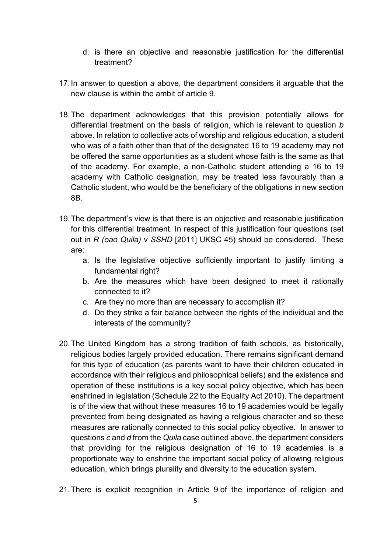- d. is there an objective and reasonable justification for the differential treatment?
- 17.In answer to question *a* above, the department considers it arguable that the new clause is within the ambit of article 9.
- 18.The department acknowledges that this provision potentially allows for differential treatment on the basis of religion, which is relevant to question *b*  above. In relation to collective acts of worship and religious education, a student who was of a faith other than that of the designated 16 to 19 academy may not be offered the same opportunities as a student whose faith is the same as that of the academy. For example, a non-Catholic student attending a 16 to 19 academy with Catholic designation, may be treated less favourably than a Catholic student, who would be the beneficiary of the obligations in new section 8B.
- 19.The department's view is that there is an objective and reasonable justification for this differential treatment. In respect of this justification four questions (set out in *R (oao Quila)* v *SSHD* [2011] UKSC 45) should be considered. These are:
	- a. Is the legislative objective sufficiently important to justify limiting a fundamental right?
	- b. Are the measures which have been designed to meet it rationally connected to it?
	- c. Are they no more than are necessary to accomplish it?
	- d. Do they strike a fair balance between the rights of the individual and the interests of the community?
- 20.The United Kingdom has a strong tradition of faith schools, as historically, religious bodies largely provided education. There remains significant demand for this type of education (as parents want to have their children educated in accordance with their religious and philosophical beliefs) and the existence and operation of these institutions is a key social policy objective, which has been enshrined in legislation (Schedule 22 to the Equality Act 2010). The department is of the view that without these measures 16 to 19 academies would be legally prevented from being designated as having a religious character and so these measures are rationally connected to this social policy objective. In answer to questions *c* and *d* from the *Quila* case outlined above, the department considers that providing for the religious designation of 16 to 19 academies is a proportionate way to enshrine the important social policy of allowing religious education, which brings plurality and diversity to the education system.
- 21.There is explicit recognition in Article 9 of the importance of religion and